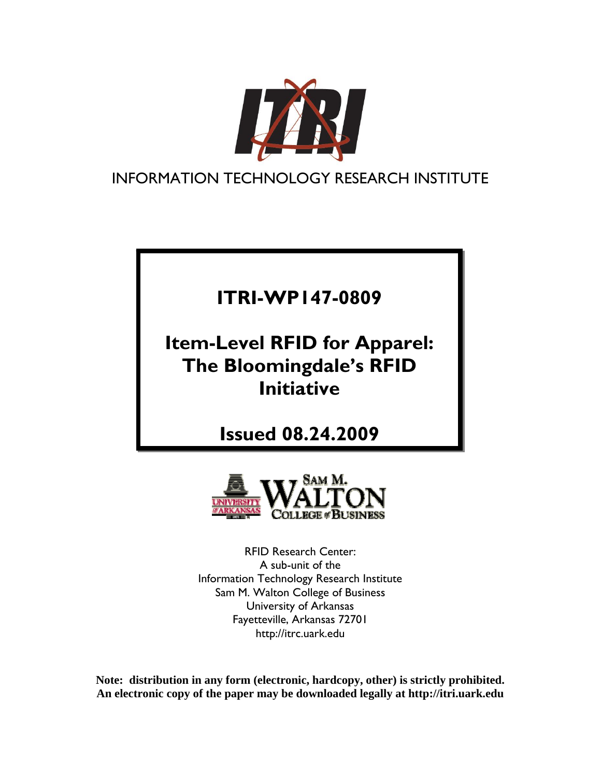

INFORMATION TECHNOLOGY RESEARCH INSTITUTE

# **ITRI-WP147-0809**

**Item-Level RFID for Apparel: The Bloomingdale's RFID Initiative** 

**Issued 08.24.2009**



RFID Research Center: A sub-unit of the Information Technology Research Institute Sam M. Walton College of Business University of Arkansas Fayetteville, Arkansas 72701 http://itrc.uark.edu

**Note: distribution in any form (electronic, hardcopy, other) is strictly prohibited. An electronic copy of the paper may be downloaded legally at http://itri.uark.edu**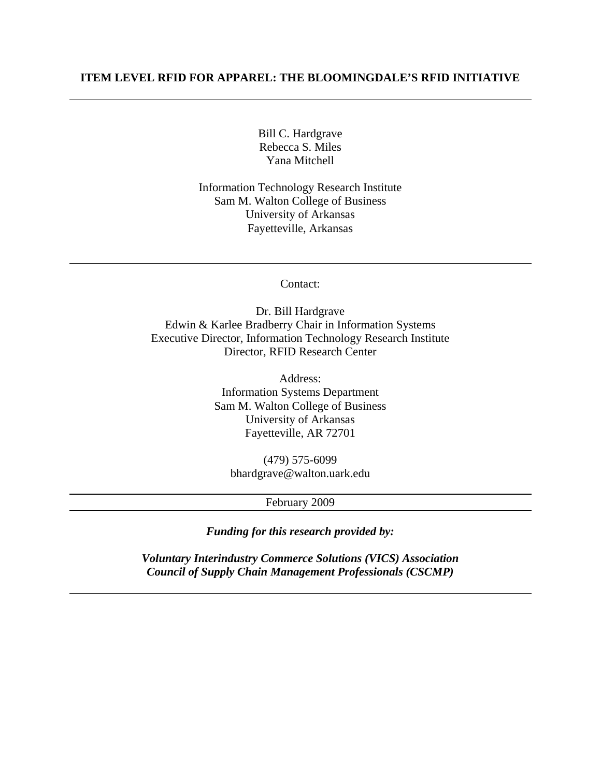## **ITEM LEVEL RFID FOR APPAREL: THE BLOOMINGDALE'S RFID INITIATIVE**

Bill C. Hardgrave Rebecca S. Miles Yana Mitchell

Information Technology Research Institute Sam M. Walton College of Business University of Arkansas Fayetteville, Arkansas

Contact:

Dr. Bill Hardgrave Edwin & Karlee Bradberry Chair in Information Systems Executive Director, Information Technology Research Institute Director, RFID Research Center

> Address: Information Systems Department Sam M. Walton College of Business University of Arkansas Fayetteville, AR 72701

(479) 575-6099 bhardgrave@walton.uark.edu

February 2009

*Funding for this research provided by:* 

*Voluntary Interindustry Commerce Solutions (VICS) Association Council of Supply Chain Management Professionals (CSCMP)*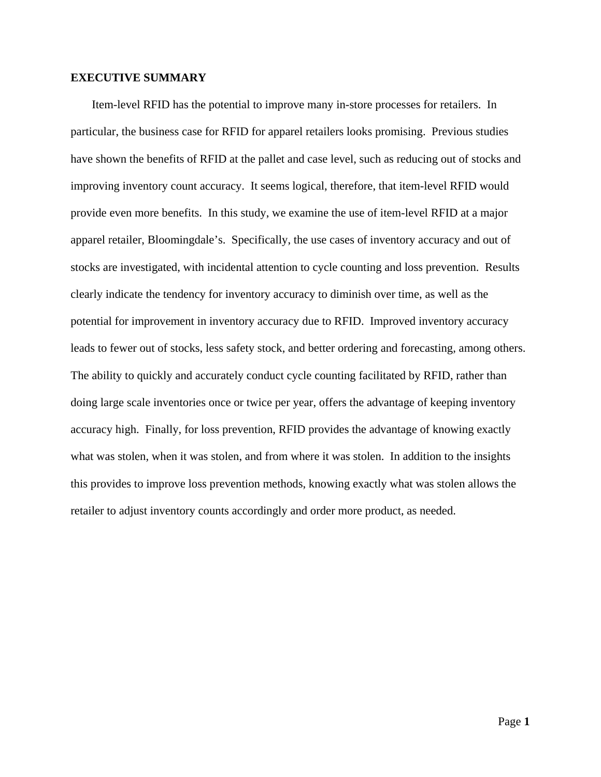## **EXECUTIVE SUMMARY**

Item-level RFID has the potential to improve many in-store processes for retailers. In particular, the business case for RFID for apparel retailers looks promising. Previous studies have shown the benefits of RFID at the pallet and case level, such as reducing out of stocks and improving inventory count accuracy. It seems logical, therefore, that item-level RFID would provide even more benefits. In this study, we examine the use of item-level RFID at a major apparel retailer, Bloomingdale's. Specifically, the use cases of inventory accuracy and out of stocks are investigated, with incidental attention to cycle counting and loss prevention. Results clearly indicate the tendency for inventory accuracy to diminish over time, as well as the potential for improvement in inventory accuracy due to RFID. Improved inventory accuracy leads to fewer out of stocks, less safety stock, and better ordering and forecasting, among others. The ability to quickly and accurately conduct cycle counting facilitated by RFID, rather than doing large scale inventories once or twice per year, offers the advantage of keeping inventory accuracy high. Finally, for loss prevention, RFID provides the advantage of knowing exactly what was stolen, when it was stolen, and from where it was stolen. In addition to the insights this provides to improve loss prevention methods, knowing exactly what was stolen allows the retailer to adjust inventory counts accordingly and order more product, as needed.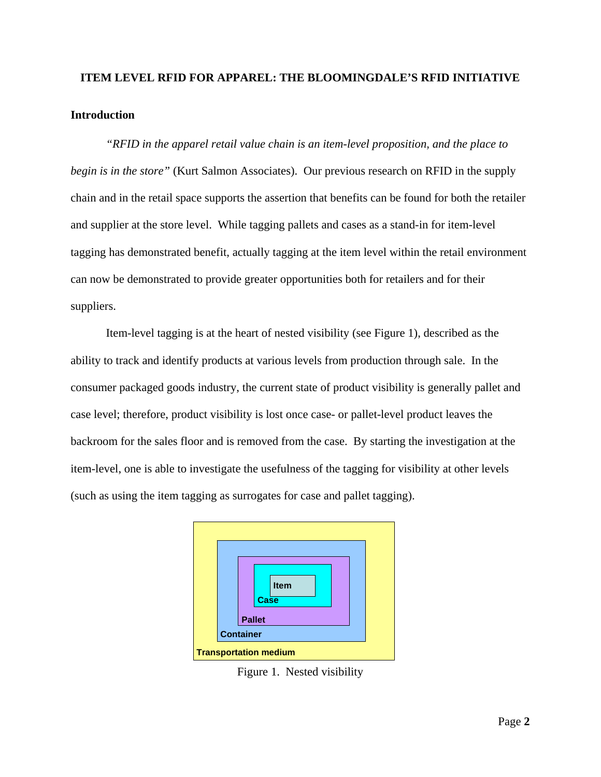# **ITEM LEVEL RFID FOR APPAREL: THE BLOOMINGDALE'S RFID INITIATIVE Introduction**

*"RFID in the apparel retail value chain is an item-level proposition, and the place to begin is in the store"* (Kurt Salmon Associates). Our previous research on RFID in the supply chain and in the retail space supports the assertion that benefits can be found for both the retailer and supplier at the store level. While tagging pallets and cases as a stand-in for item-level tagging has demonstrated benefit, actually tagging at the item level within the retail environment can now be demonstrated to provide greater opportunities both for retailers and for their suppliers.

Item-level tagging is at the heart of nested visibility (see Figure 1), described as the ability to track and identify products at various levels from production through sale. In the consumer packaged goods industry, the current state of product visibility is generally pallet and case level; therefore, product visibility is lost once case- or pallet-level product leaves the backroom for the sales floor and is removed from the case. By starting the investigation at the item-level, one is able to investigate the usefulness of the tagging for visibility at other levels (such as using the item tagging as surrogates for case and pallet tagging).



Figure 1. Nested visibility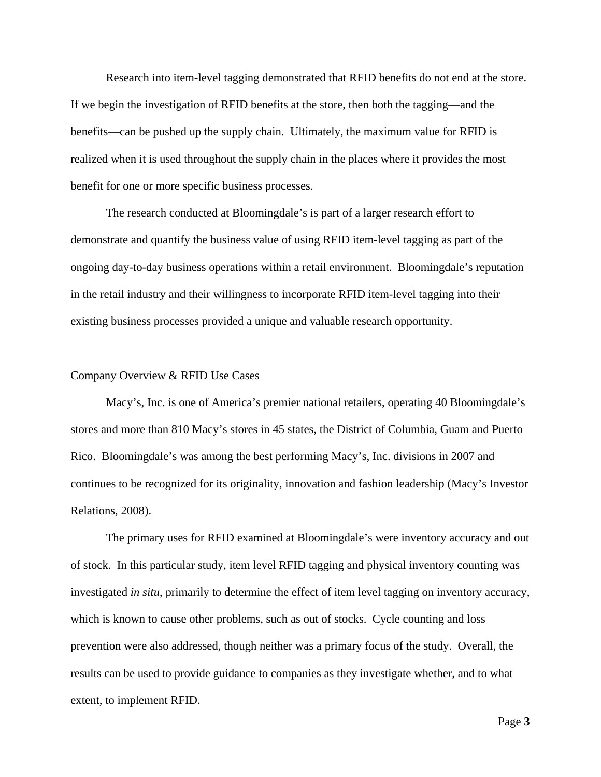Research into item-level tagging demonstrated that RFID benefits do not end at the store. If we begin the investigation of RFID benefits at the store, then both the tagging—and the benefits—can be pushed up the supply chain. Ultimately, the maximum value for RFID is realized when it is used throughout the supply chain in the places where it provides the most benefit for one or more specific business processes.

The research conducted at Bloomingdale's is part of a larger research effort to demonstrate and quantify the business value of using RFID item-level tagging as part of the ongoing day-to-day business operations within a retail environment. Bloomingdale's reputation in the retail industry and their willingness to incorporate RFID item-level tagging into their existing business processes provided a unique and valuable research opportunity.

#### Company Overview & RFID Use Cases

Macy's, Inc. is one of America's premier national retailers, operating 40 Bloomingdale's stores and more than 810 Macy's stores in 45 states, the District of Columbia, Guam and Puerto Rico. Bloomingdale's was among the best performing Macy's, Inc. divisions in 2007 and continues to be recognized for its originality, innovation and fashion leadership (Macy's Investor Relations, 2008).

The primary uses for RFID examined at Bloomingdale's were inventory accuracy and out of stock. In this particular study, item level RFID tagging and physical inventory counting was investigated *in situ*, primarily to determine the effect of item level tagging on inventory accuracy, which is known to cause other problems, such as out of stocks. Cycle counting and loss prevention were also addressed, though neither was a primary focus of the study. Overall, the results can be used to provide guidance to companies as they investigate whether, and to what extent, to implement RFID.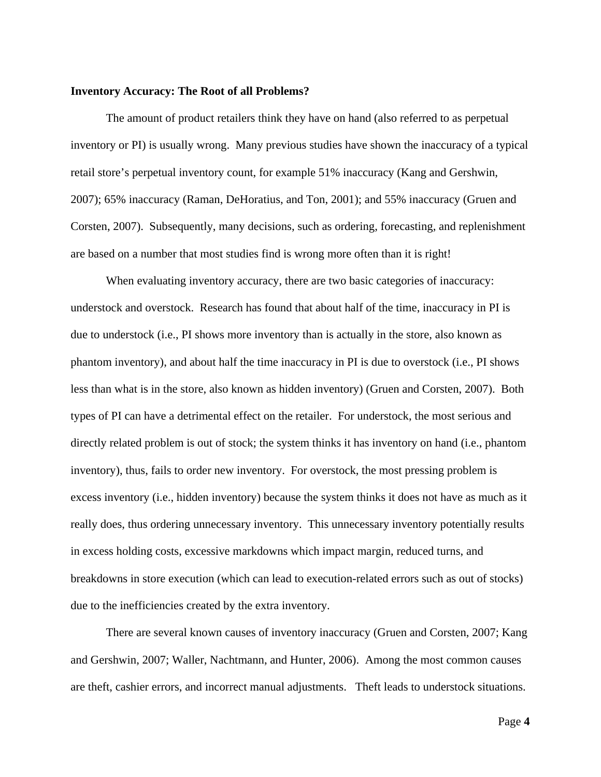### **Inventory Accuracy: The Root of all Problems?**

 The amount of product retailers think they have on hand (also referred to as perpetual inventory or PI) is usually wrong. Many previous studies have shown the inaccuracy of a typical retail store's perpetual inventory count, for example 51% inaccuracy (Kang and Gershwin, 2007); 65% inaccuracy (Raman, DeHoratius, and Ton, 2001); and 55% inaccuracy (Gruen and Corsten, 2007). Subsequently, many decisions, such as ordering, forecasting, and replenishment are based on a number that most studies find is wrong more often than it is right!

When evaluating inventory accuracy, there are two basic categories of inaccuracy: understock and overstock. Research has found that about half of the time, inaccuracy in PI is due to understock (i.e., PI shows more inventory than is actually in the store, also known as phantom inventory), and about half the time inaccuracy in PI is due to overstock (i.e., PI shows less than what is in the store, also known as hidden inventory) (Gruen and Corsten, 2007). Both types of PI can have a detrimental effect on the retailer. For understock, the most serious and directly related problem is out of stock; the system thinks it has inventory on hand (i.e., phantom inventory), thus, fails to order new inventory. For overstock, the most pressing problem is excess inventory (i.e., hidden inventory) because the system thinks it does not have as much as it really does, thus ordering unnecessary inventory. This unnecessary inventory potentially results in excess holding costs, excessive markdowns which impact margin, reduced turns, and breakdowns in store execution (which can lead to execution-related errors such as out of stocks) due to the inefficiencies created by the extra inventory.

 There are several known causes of inventory inaccuracy (Gruen and Corsten, 2007; Kang and Gershwin, 2007; Waller, Nachtmann, and Hunter, 2006). Among the most common causes are theft, cashier errors, and incorrect manual adjustments. Theft leads to understock situations.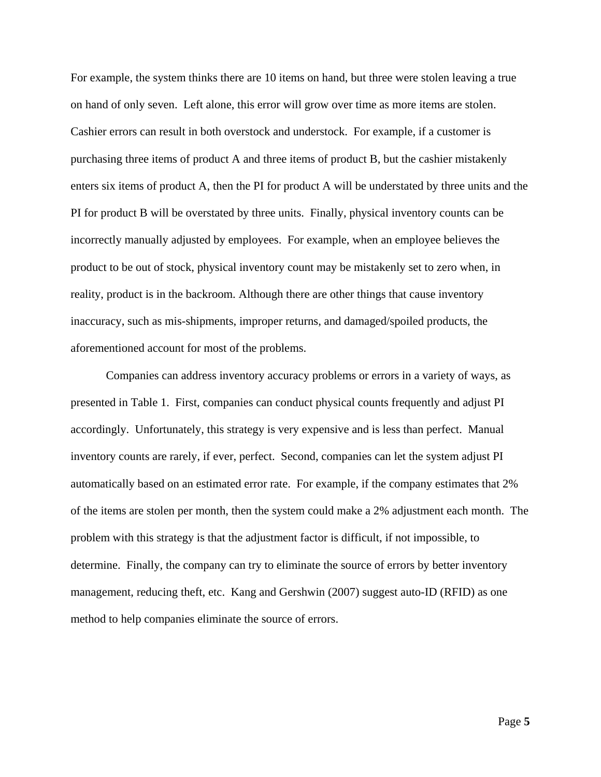For example, the system thinks there are 10 items on hand, but three were stolen leaving a true on hand of only seven. Left alone, this error will grow over time as more items are stolen. Cashier errors can result in both overstock and understock. For example, if a customer is purchasing three items of product A and three items of product B, but the cashier mistakenly enters six items of product A, then the PI for product A will be understated by three units and the PI for product B will be overstated by three units. Finally, physical inventory counts can be incorrectly manually adjusted by employees. For example, when an employee believes the product to be out of stock, physical inventory count may be mistakenly set to zero when, in reality, product is in the backroom. Although there are other things that cause inventory inaccuracy, such as mis-shipments, improper returns, and damaged/spoiled products, the aforementioned account for most of the problems.

 Companies can address inventory accuracy problems or errors in a variety of ways, as presented in Table 1. First, companies can conduct physical counts frequently and adjust PI accordingly. Unfortunately, this strategy is very expensive and is less than perfect. Manual inventory counts are rarely, if ever, perfect. Second, companies can let the system adjust PI automatically based on an estimated error rate. For example, if the company estimates that 2% of the items are stolen per month, then the system could make a 2% adjustment each month. The problem with this strategy is that the adjustment factor is difficult, if not impossible, to determine. Finally, the company can try to eliminate the source of errors by better inventory management, reducing theft, etc. Kang and Gershwin (2007) suggest auto-ID (RFID) as one method to help companies eliminate the source of errors.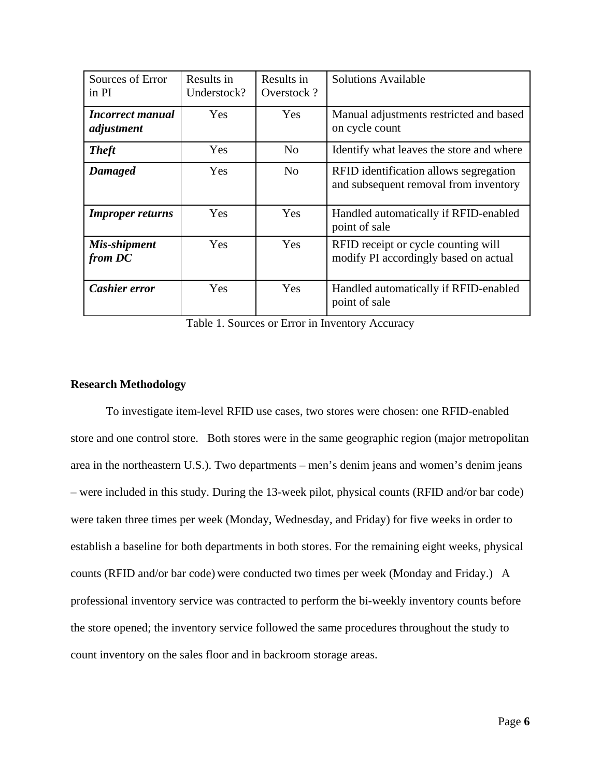| Sources of Error<br>in PI             | Results in<br>Understock? | Results in<br>Overstock? | <b>Solutions Available</b>                                                      |
|---------------------------------------|---------------------------|--------------------------|---------------------------------------------------------------------------------|
| <b>Incorrect manual</b><br>adjustment | <b>Yes</b>                | <b>Yes</b>               | Manual adjustments restricted and based<br>on cycle count                       |
| <b>Theft</b>                          | Yes                       | N <sub>0</sub>           | Identify what leaves the store and where                                        |
| Damaged                               | Yes                       | N <sub>o</sub>           | RFID identification allows segregation<br>and subsequent removal from inventory |
| <b>Improper returns</b>               | Yes                       | Yes                      | Handled automatically if RFID-enabled<br>point of sale                          |
| Mis-shipment<br>from DC               | Yes                       | Yes                      | RFID receipt or cycle counting will<br>modify PI accordingly based on actual    |
| Cashier error                         | Yes                       | Yes                      | Handled automatically if RFID-enabled<br>point of sale                          |

Table 1. Sources or Error in Inventory Accuracy

## **Research Methodology**

To investigate item-level RFID use cases, two stores were chosen: one RFID-enabled store and one control store. Both stores were in the same geographic region (major metropolitan area in the northeastern U.S.). Two departments – men's denim jeans and women's denim jeans – were included in this study. During the 13-week pilot, physical counts (RFID and/or bar code) were taken three times per week (Monday, Wednesday, and Friday) for five weeks in order to establish a baseline for both departments in both stores. For the remaining eight weeks, physical counts (RFID and/or bar code) were conducted two times per week (Monday and Friday.) A professional inventory service was contracted to perform the bi-weekly inventory counts before the store opened; the inventory service followed the same procedures throughout the study to count inventory on the sales floor and in backroom storage areas.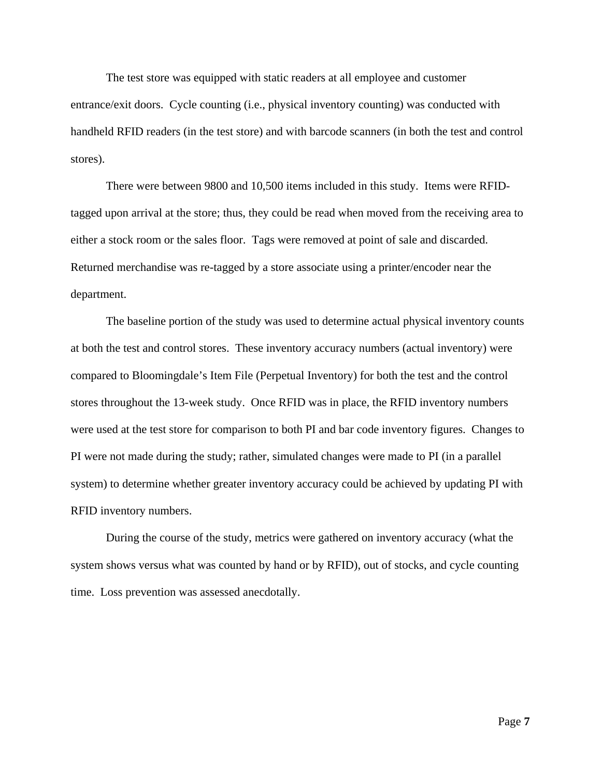The test store was equipped with static readers at all employee and customer

entrance/exit doors. Cycle counting (i.e., physical inventory counting) was conducted with handheld RFID readers (in the test store) and with barcode scanners (in both the test and control stores).

There were between 9800 and 10,500 items included in this study. Items were RFIDtagged upon arrival at the store; thus, they could be read when moved from the receiving area to either a stock room or the sales floor. Tags were removed at point of sale and discarded. Returned merchandise was re-tagged by a store associate using a printer/encoder near the department.

The baseline portion of the study was used to determine actual physical inventory counts at both the test and control stores. These inventory accuracy numbers (actual inventory) were compared to Bloomingdale's Item File (Perpetual Inventory) for both the test and the control stores throughout the 13-week study. Once RFID was in place, the RFID inventory numbers were used at the test store for comparison to both PI and bar code inventory figures. Changes to PI were not made during the study; rather, simulated changes were made to PI (in a parallel system) to determine whether greater inventory accuracy could be achieved by updating PI with RFID inventory numbers.

During the course of the study, metrics were gathered on inventory accuracy (what the system shows versus what was counted by hand or by RFID), out of stocks, and cycle counting time. Loss prevention was assessed anecdotally.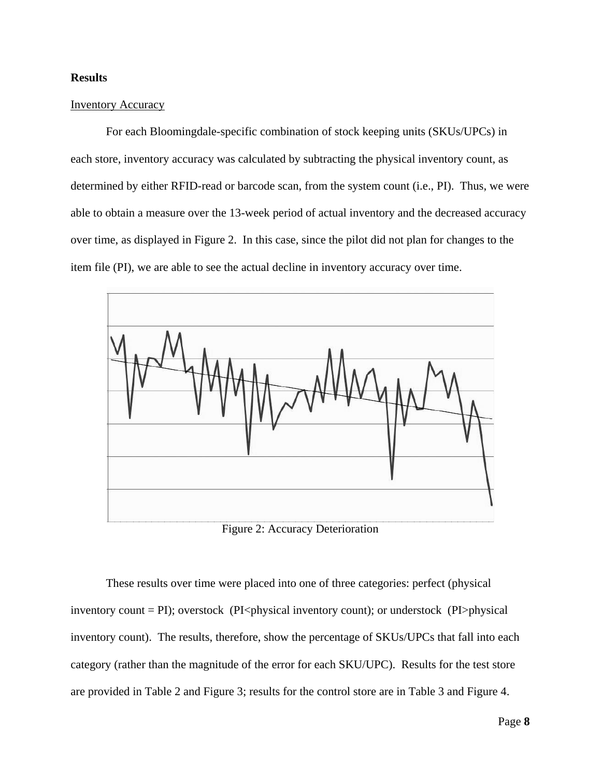## **Results**

## Inventory Accuracy

 For each Bloomingdale-specific combination of stock keeping units (SKUs/UPCs) in each store, inventory accuracy was calculated by subtracting the physical inventory count, as determined by either RFID-read or barcode scan, from the system count (i.e., PI). Thus, we were able to obtain a measure over the 13-week period of actual inventory and the decreased accuracy over time, as displayed in Figure 2. In this case, since the pilot did not plan for changes to the item file (PI), we are able to see the actual decline in inventory accuracy over time.



Figure 2: Accuracy Deterioration

These results over time were placed into one of three categories: perfect (physical inventory count = PI); overstock (PI<physical inventory count); or understock (PI>physical inventory count). The results, therefore, show the percentage of SKUs/UPCs that fall into each category (rather than the magnitude of the error for each SKU/UPC). Results for the test store are provided in Table 2 and Figure 3; results for the control store are in Table 3 and Figure 4.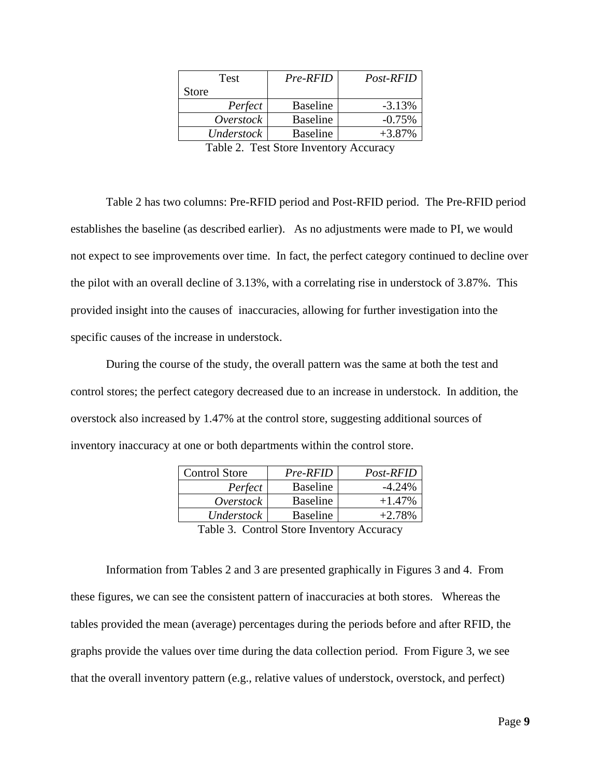| Test       | Pre-RFID        | Post-RFID |
|------------|-----------------|-----------|
| Store      |                 |           |
| Perfect    | <b>Baseline</b> | $-3.13%$  |
| Overstock  | <b>Baseline</b> | $-0.75%$  |
| Understock | <b>Baseline</b> | $+3.87%$  |
| -- - -     | $\sim$ $\sim$   |           |

Table 2. Test Store Inventory Accuracy

Table 2 has two columns: Pre-RFID period and Post-RFID period. The Pre-RFID period establishes the baseline (as described earlier). As no adjustments were made to PI, we would not expect to see improvements over time. In fact, the perfect category continued to decline over the pilot with an overall decline of 3.13%, with a correlating rise in understock of 3.87%. This provided insight into the causes of inaccuracies, allowing for further investigation into the specific causes of the increase in understock.

 During the course of the study, the overall pattern was the same at both the test and control stores; the perfect category decreased due to an increase in understock. In addition, the overstock also increased by 1.47% at the control store, suggesting additional sources of inventory inaccuracy at one or both departments within the control store.

| <b>Control Store</b> | Pre-RFID        | Post-RFID |
|----------------------|-----------------|-----------|
| Perfect              | <b>Baseline</b> | $-4.24\%$ |
| Overstock            | <b>Baseline</b> | $+1.47\%$ |
| Understock           | <b>Baseline</b> | $+2.78%$  |

Table 3. Control Store Inventory Accuracy

Information from Tables 2 and 3 are presented graphically in Figures 3 and 4. From these figures, we can see the consistent pattern of inaccuracies at both stores. Whereas the tables provided the mean (average) percentages during the periods before and after RFID, the graphs provide the values over time during the data collection period. From Figure 3, we see that the overall inventory pattern (e.g., relative values of understock, overstock, and perfect)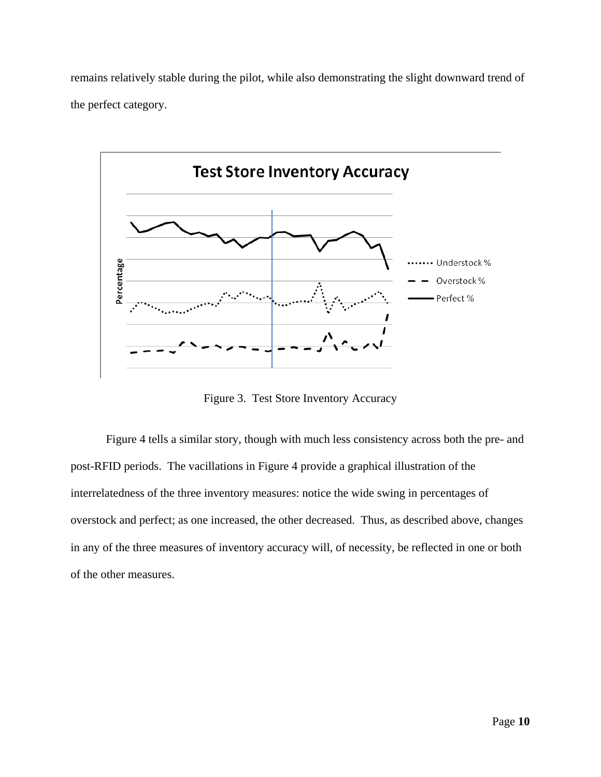remains relatively stable during the pilot, while also demonstrating the slight downward trend of the perfect category.



Figure 3. Test Store Inventory Accuracy

 Figure 4 tells a similar story, though with much less consistency across both the pre- and post-RFID periods. The vacillations in Figure 4 provide a graphical illustration of the interrelatedness of the three inventory measures: notice the wide swing in percentages of overstock and perfect; as one increased, the other decreased. Thus, as described above, changes in any of the three measures of inventory accuracy will, of necessity, be reflected in one or both of the other measures.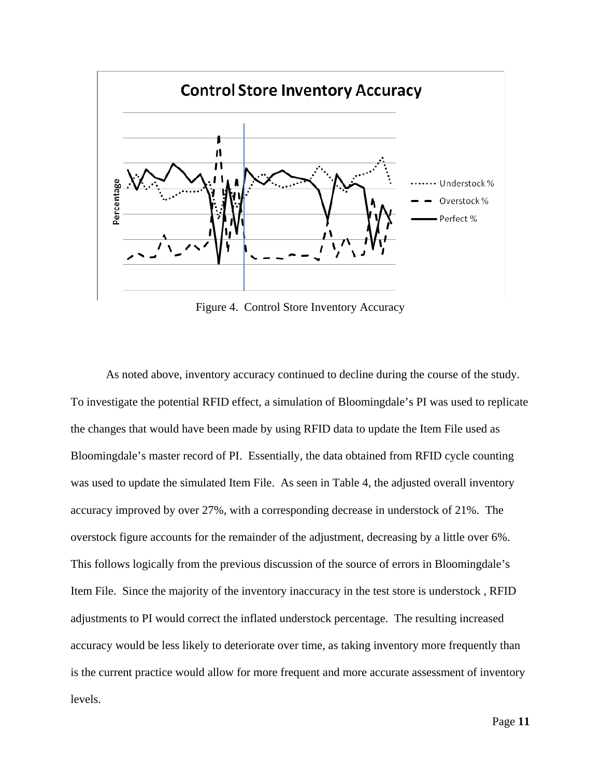

Figure 4. Control Store Inventory Accuracy

As noted above, inventory accuracy continued to decline during the course of the study. To investigate the potential RFID effect, a simulation of Bloomingdale's PI was used to replicate the changes that would have been made by using RFID data to update the Item File used as Bloomingdale's master record of PI. Essentially, the data obtained from RFID cycle counting was used to update the simulated Item File. As seen in Table 4, the adjusted overall inventory accuracy improved by over 27%, with a corresponding decrease in understock of 21%. The overstock figure accounts for the remainder of the adjustment, decreasing by a little over 6%. This follows logically from the previous discussion of the source of errors in Bloomingdale's Item File. Since the majority of the inventory inaccuracy in the test store is understock , RFID adjustments to PI would correct the inflated understock percentage. The resulting increased accuracy would be less likely to deteriorate over time, as taking inventory more frequently than is the current practice would allow for more frequent and more accurate assessment of inventory levels.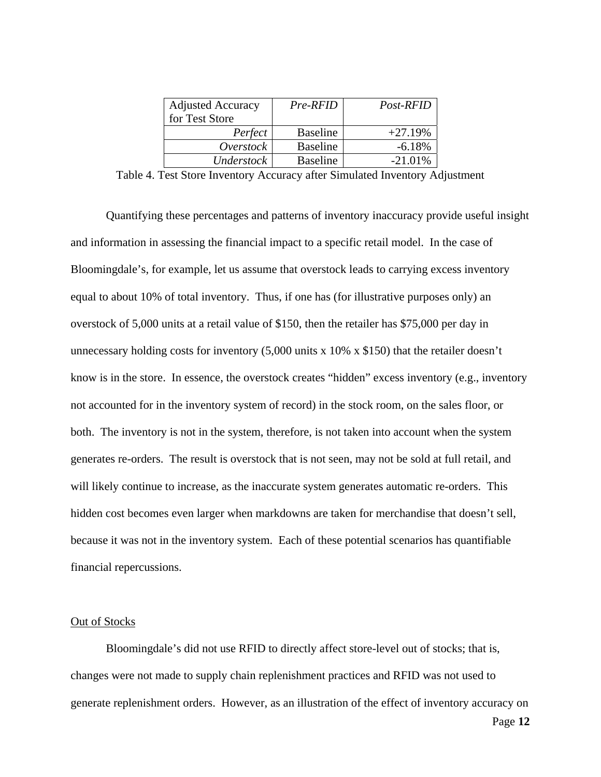| <b>Adjusted Accuracy</b> | Pre-RFID        | Post-RFID  |
|--------------------------|-----------------|------------|
| for Test Store           |                 |            |
| Perfect                  | <b>Baseline</b> | $+27.19%$  |
| Overstock                | <b>Baseline</b> | $-6.18%$   |
| Understock               | <b>Baseline</b> | $-21.01\%$ |

Table 4. Test Store Inventory Accuracy after Simulated Inventory Adjustment

 Quantifying these percentages and patterns of inventory inaccuracy provide useful insight and information in assessing the financial impact to a specific retail model. In the case of Bloomingdale's, for example, let us assume that overstock leads to carrying excess inventory equal to about 10% of total inventory. Thus, if one has (for illustrative purposes only) an overstock of 5,000 units at a retail value of \$150, then the retailer has \$75,000 per day in unnecessary holding costs for inventory (5,000 units x 10% x \$150) that the retailer doesn't know is in the store. In essence, the overstock creates "hidden" excess inventory (e.g., inventory not accounted for in the inventory system of record) in the stock room, on the sales floor, or both. The inventory is not in the system, therefore, is not taken into account when the system generates re-orders. The result is overstock that is not seen, may not be sold at full retail, and will likely continue to increase, as the inaccurate system generates automatic re-orders. This hidden cost becomes even larger when markdowns are taken for merchandise that doesn't sell, because it was not in the inventory system. Each of these potential scenarios has quantifiable financial repercussions.

### Out of Stocks

Bloomingdale's did not use RFID to directly affect store-level out of stocks; that is, changes were not made to supply chain replenishment practices and RFID was not used to generate replenishment orders. However, as an illustration of the effect of inventory accuracy on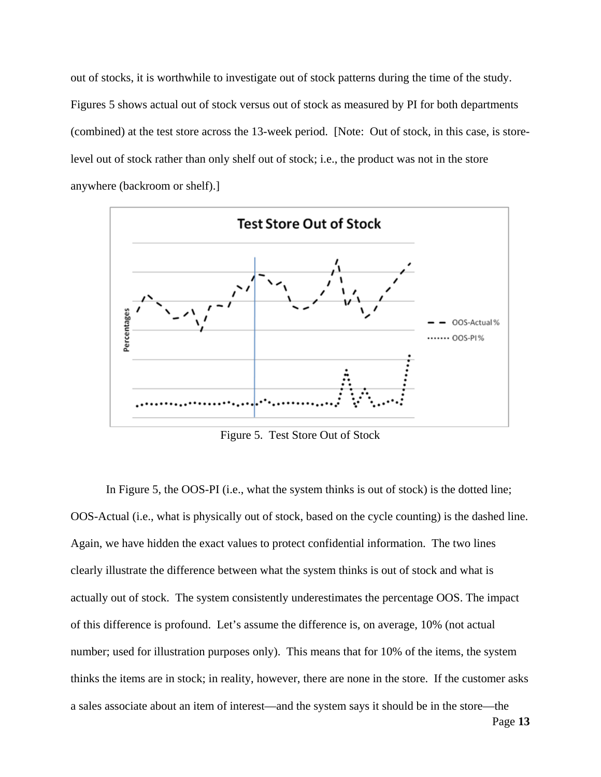out of stocks, it is worthwhile to investigate out of stock patterns during the time of the study. Figures 5 shows actual out of stock versus out of stock as measured by PI for both departments (combined) at the test store across the 13-week period. [Note: Out of stock, in this case, is storelevel out of stock rather than only shelf out of stock; i.e., the product was not in the store anywhere (backroom or shelf).]



Figure 5. Test Store Out of Stock

In Figure 5, the OOS-PI (i.e., what the system thinks is out of stock) is the dotted line; OOS-Actual (i.e., what is physically out of stock, based on the cycle counting) is the dashed line. Again, we have hidden the exact values to protect confidential information. The two lines clearly illustrate the difference between what the system thinks is out of stock and what is actually out of stock. The system consistently underestimates the percentage OOS. The impact of this difference is profound. Let's assume the difference is, on average, 10% (not actual number; used for illustration purposes only). This means that for 10% of the items, the system thinks the items are in stock; in reality, however, there are none in the store. If the customer asks a sales associate about an item of interest—and the system says it should be in the store—the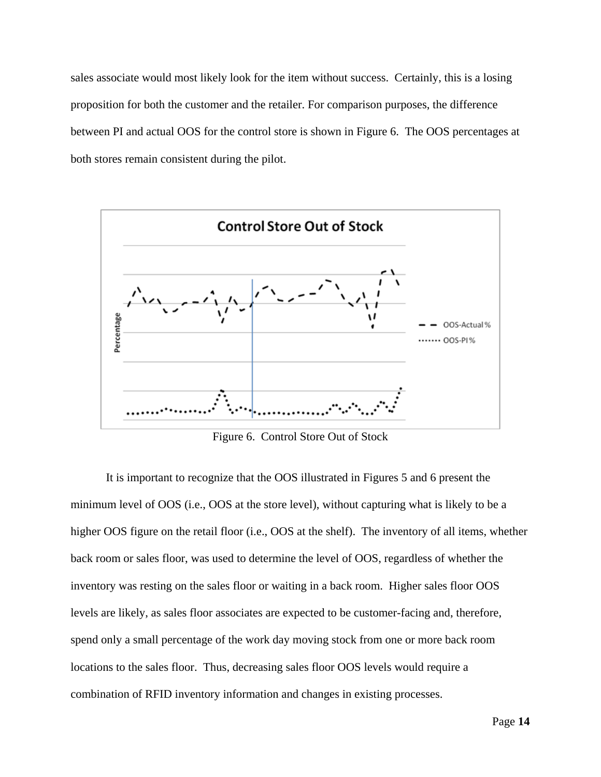sales associate would most likely look for the item without success. Certainly, this is a losing proposition for both the customer and the retailer. For comparison purposes, the difference between PI and actual OOS for the control store is shown in Figure 6. The OOS percentages at both stores remain consistent during the pilot.



Figure 6. Control Store Out of Stock

It is important to recognize that the OOS illustrated in Figures 5 and 6 present the minimum level of OOS (i.e., OOS at the store level), without capturing what is likely to be a higher OOS figure on the retail floor (i.e., OOS at the shelf). The inventory of all items, whether back room or sales floor, was used to determine the level of OOS, regardless of whether the inventory was resting on the sales floor or waiting in a back room. Higher sales floor OOS levels are likely, as sales floor associates are expected to be customer-facing and, therefore, spend only a small percentage of the work day moving stock from one or more back room locations to the sales floor. Thus, decreasing sales floor OOS levels would require a combination of RFID inventory information and changes in existing processes.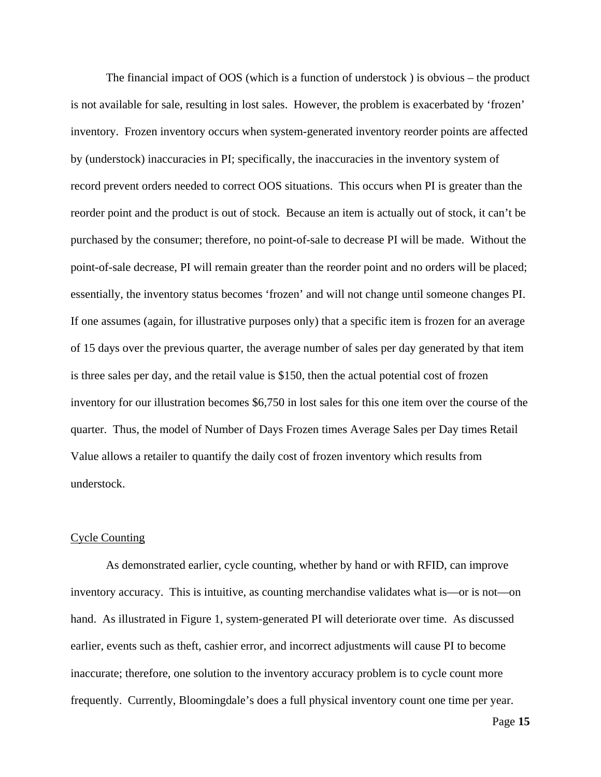The financial impact of OOS (which is a function of understock ) is obvious – the product is not available for sale, resulting in lost sales. However, the problem is exacerbated by 'frozen' inventory. Frozen inventory occurs when system-generated inventory reorder points are affected by (understock) inaccuracies in PI; specifically, the inaccuracies in the inventory system of record prevent orders needed to correct OOS situations. This occurs when PI is greater than the reorder point and the product is out of stock. Because an item is actually out of stock, it can't be purchased by the consumer; therefore, no point-of-sale to decrease PI will be made. Without the point-of-sale decrease, PI will remain greater than the reorder point and no orders will be placed; essentially, the inventory status becomes 'frozen' and will not change until someone changes PI. If one assumes (again, for illustrative purposes only) that a specific item is frozen for an average of 15 days over the previous quarter, the average number of sales per day generated by that item is three sales per day, and the retail value is \$150, then the actual potential cost of frozen inventory for our illustration becomes \$6,750 in lost sales for this one item over the course of the quarter. Thus, the model of Number of Days Frozen times Average Sales per Day times Retail Value allows a retailer to quantify the daily cost of frozen inventory which results from understock.

#### Cycle Counting

 As demonstrated earlier, cycle counting, whether by hand or with RFID, can improve inventory accuracy. This is intuitive, as counting merchandise validates what is—or is not—on hand. As illustrated in Figure 1, system-generated PI will deteriorate over time. As discussed earlier, events such as theft, cashier error, and incorrect adjustments will cause PI to become inaccurate; therefore, one solution to the inventory accuracy problem is to cycle count more frequently. Currently, Bloomingdale's does a full physical inventory count one time per year.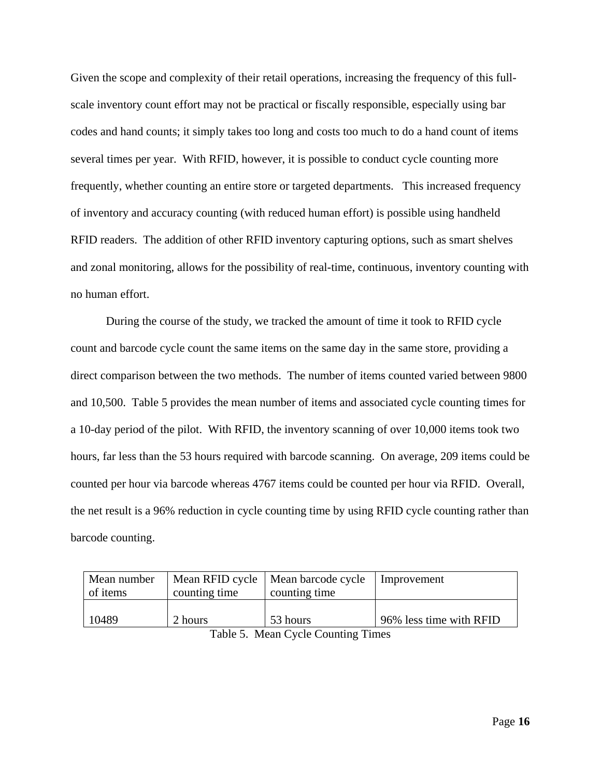Given the scope and complexity of their retail operations, increasing the frequency of this fullscale inventory count effort may not be practical or fiscally responsible, especially using bar codes and hand counts; it simply takes too long and costs too much to do a hand count of items several times per year. With RFID, however, it is possible to conduct cycle counting more frequently, whether counting an entire store or targeted departments. This increased frequency of inventory and accuracy counting (with reduced human effort) is possible using handheld RFID readers. The addition of other RFID inventory capturing options, such as smart shelves and zonal monitoring, allows for the possibility of real-time, continuous, inventory counting with no human effort.

During the course of the study, we tracked the amount of time it took to RFID cycle count and barcode cycle count the same items on the same day in the same store, providing a direct comparison between the two methods. The number of items counted varied between 9800 and 10,500. Table 5 provides the mean number of items and associated cycle counting times for a 10-day period of the pilot. With RFID, the inventory scanning of over 10,000 items took two hours, far less than the 53 hours required with barcode scanning. On average, 209 items could be counted per hour via barcode whereas 4767 items could be counted per hour via RFID. Overall, the net result is a 96% reduction in cycle counting time by using RFID cycle counting rather than barcode counting.

| Mean number | Mean RFID cycle   Mean barcode cycle |               | Improvement             |
|-------------|--------------------------------------|---------------|-------------------------|
| of items    | counting time                        | counting time |                         |
|             |                                      |               |                         |
| 10489       | 2 hours                              | 53 hours      | 96% less time with RFID |

Table 5. Mean Cycle Counting Times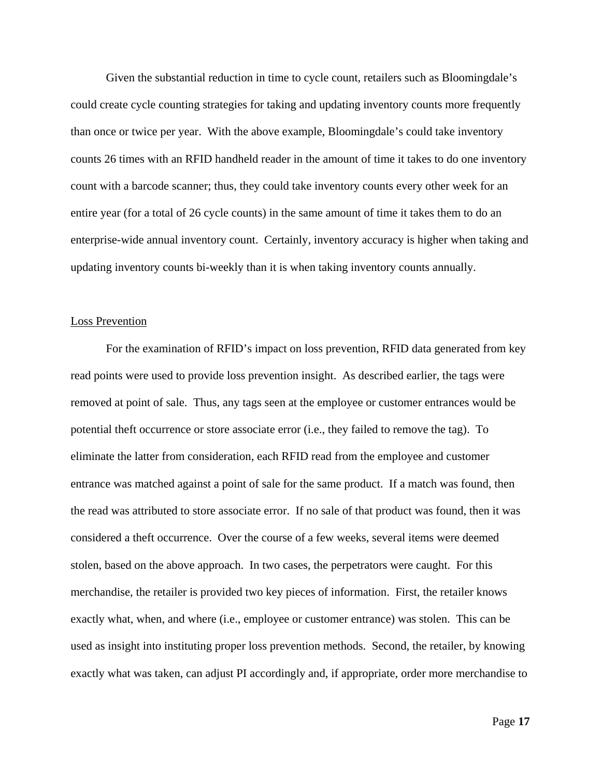Given the substantial reduction in time to cycle count, retailers such as Bloomingdale's could create cycle counting strategies for taking and updating inventory counts more frequently than once or twice per year. With the above example, Bloomingdale's could take inventory counts 26 times with an RFID handheld reader in the amount of time it takes to do one inventory count with a barcode scanner; thus, they could take inventory counts every other week for an entire year (for a total of 26 cycle counts) in the same amount of time it takes them to do an enterprise-wide annual inventory count. Certainly, inventory accuracy is higher when taking and updating inventory counts bi-weekly than it is when taking inventory counts annually.

#### Loss Prevention

 For the examination of RFID's impact on loss prevention, RFID data generated from key read points were used to provide loss prevention insight. As described earlier, the tags were removed at point of sale. Thus, any tags seen at the employee or customer entrances would be potential theft occurrence or store associate error (i.e., they failed to remove the tag). To eliminate the latter from consideration, each RFID read from the employee and customer entrance was matched against a point of sale for the same product. If a match was found, then the read was attributed to store associate error. If no sale of that product was found, then it was considered a theft occurrence. Over the course of a few weeks, several items were deemed stolen, based on the above approach. In two cases, the perpetrators were caught. For this merchandise, the retailer is provided two key pieces of information. First, the retailer knows exactly what, when, and where (i.e., employee or customer entrance) was stolen. This can be used as insight into instituting proper loss prevention methods. Second, the retailer, by knowing exactly what was taken, can adjust PI accordingly and, if appropriate, order more merchandise to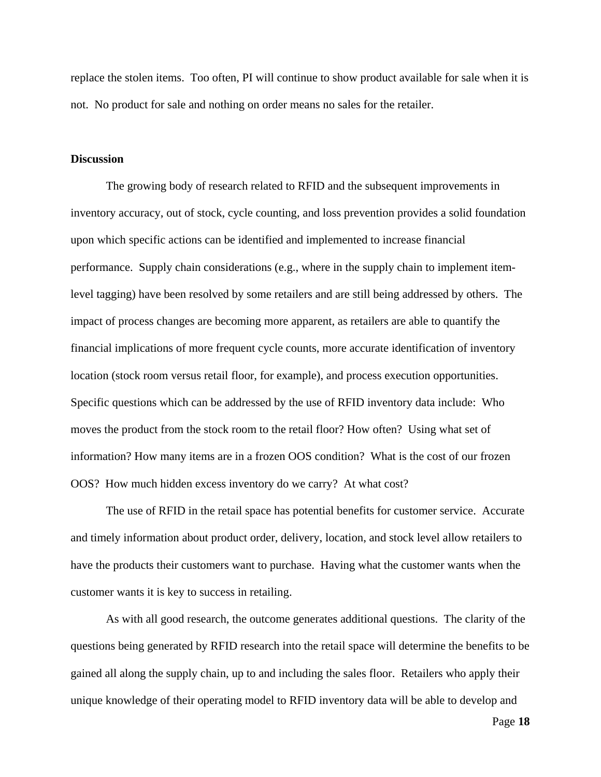replace the stolen items. Too often, PI will continue to show product available for sale when it is not. No product for sale and nothing on order means no sales for the retailer.

### **Discussion**

The growing body of research related to RFID and the subsequent improvements in inventory accuracy, out of stock, cycle counting, and loss prevention provides a solid foundation upon which specific actions can be identified and implemented to increase financial performance. Supply chain considerations (e.g., where in the supply chain to implement itemlevel tagging) have been resolved by some retailers and are still being addressed by others. The impact of process changes are becoming more apparent, as retailers are able to quantify the financial implications of more frequent cycle counts, more accurate identification of inventory location (stock room versus retail floor, for example), and process execution opportunities. Specific questions which can be addressed by the use of RFID inventory data include: Who moves the product from the stock room to the retail floor? How often? Using what set of information? How many items are in a frozen OOS condition? What is the cost of our frozen OOS? How much hidden excess inventory do we carry? At what cost?

 The use of RFID in the retail space has potential benefits for customer service. Accurate and timely information about product order, delivery, location, and stock level allow retailers to have the products their customers want to purchase. Having what the customer wants when the customer wants it is key to success in retailing.

 As with all good research, the outcome generates additional questions. The clarity of the questions being generated by RFID research into the retail space will determine the benefits to be gained all along the supply chain, up to and including the sales floor. Retailers who apply their unique knowledge of their operating model to RFID inventory data will be able to develop and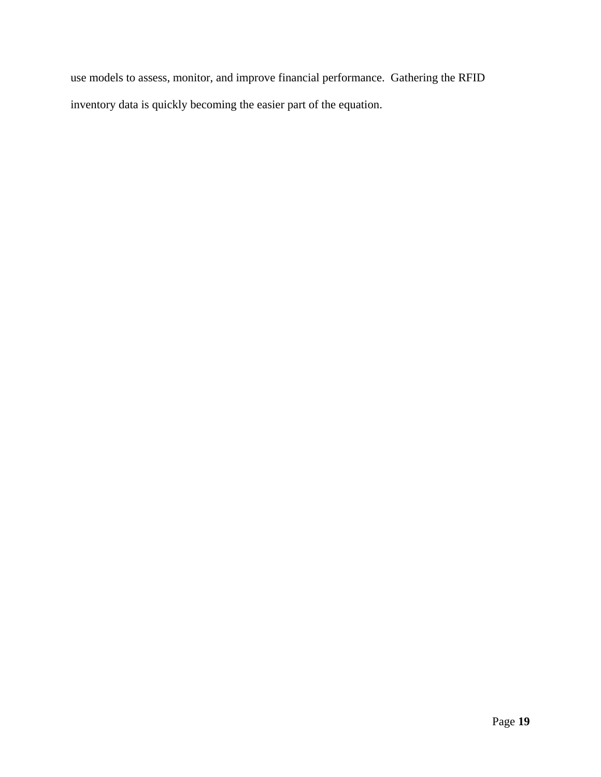use models to assess, monitor, and improve financial performance. Gathering the RFID inventory data is quickly becoming the easier part of the equation.